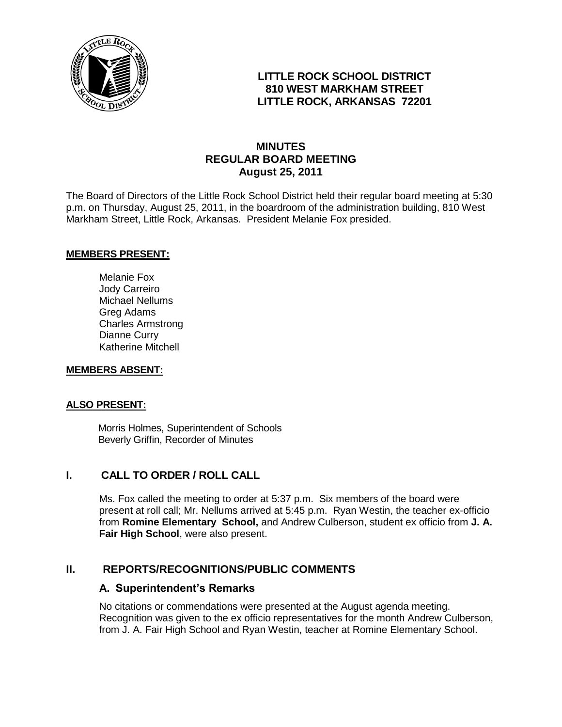

# **LITTLE ROCK SCHOOL DISTRICT 810 WEST MARKHAM STREET LITTLE ROCK, ARKANSAS 72201**

# **MINUTES REGULAR BOARD MEETING August 25, 2011**

The Board of Directors of the Little Rock School District held their regular board meeting at 5:30 p.m. on Thursday, August 25, 2011, in the boardroom of the administration building, 810 West Markham Street, Little Rock, Arkansas. President Melanie Fox presided.

#### **MEMBERS PRESENT:**

Melanie Fox Jody Carreiro Michael Nellums Greg Adams Charles Armstrong Dianne Curry Katherine Mitchell

#### **MEMBERS ABSENT:**

#### **ALSO PRESENT:**

 Morris Holmes, Superintendent of Schools Beverly Griffin, Recorder of Minutes

# **I. CALL TO ORDER / ROLL CALL**

Ms. Fox called the meeting to order at 5:37 p.m. Six members of the board were present at roll call; Mr. Nellums arrived at 5:45 p.m. Ryan Westin, the teacher ex-officio from **Romine Elementary School,** and Andrew Culberson, student ex officio from **J. A. Fair High School**, were also present.

## **II. REPORTS/RECOGNITIONS/PUBLIC COMMENTS**

#### **A. Superintendent's Remarks**

No citations or commendations were presented at the August agenda meeting. Recognition was given to the ex officio representatives for the month Andrew Culberson, from J. A. Fair High School and Ryan Westin, teacher at Romine Elementary School.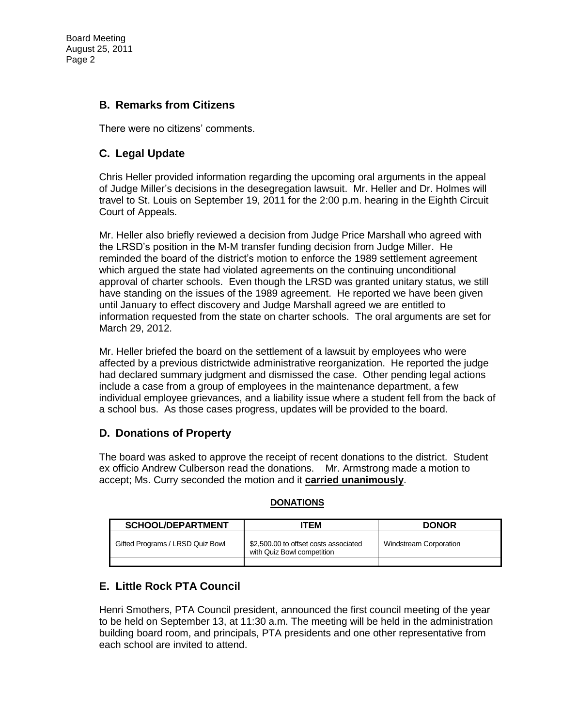Board Meeting August 25, 2011 Page 2

# **B. Remarks from Citizens**

There were no citizens' comments.

# **C. Legal Update**

Chris Heller provided information regarding the upcoming oral arguments in the appeal of Judge Miller's decisions in the desegregation lawsuit. Mr. Heller and Dr. Holmes will travel to St. Louis on September 19, 2011 for the 2:00 p.m. hearing in the Eighth Circuit Court of Appeals.

Mr. Heller also briefly reviewed a decision from Judge Price Marshall who agreed with the LRSD's position in the M-M transfer funding decision from Judge Miller. He reminded the board of the district's motion to enforce the 1989 settlement agreement which argued the state had violated agreements on the continuing unconditional approval of charter schools. Even though the LRSD was granted unitary status, we still have standing on the issues of the 1989 agreement. He reported we have been given until January to effect discovery and Judge Marshall agreed we are entitled to information requested from the state on charter schools. The oral arguments are set for March 29, 2012.

Mr. Heller briefed the board on the settlement of a lawsuit by employees who were affected by a previous districtwide administrative reorganization. He reported the judge had declared summary judgment and dismissed the case. Other pending legal actions include a case from a group of employees in the maintenance department, a few individual employee grievances, and a liability issue where a student fell from the back of a school bus. As those cases progress, updates will be provided to the board.

## **D. Donations of Property**

The board was asked to approve the receipt of recent donations to the district. Student ex officio Andrew Culberson read the donations. Mr. Armstrong made a motion to accept; Ms. Curry seconded the motion and it **carried unanimously**.

| <b>SCHOOL/DEPARTMENT</b> | <b>ITEM</b> | <b>DONOR</b> |
|--------------------------|-------------|--------------|
|                          |             |              |

Windstream Corporation

#### **DONATIONS**

with Quiz Bowl competition

Gifted Programs / LRSD Quiz Bowl | \$2,500.00 to offset costs associated

## **E. Little Rock PTA Council**

Henri Smothers, PTA Council president, announced the first council meeting of the year to be held on September 13, at 11:30 a.m. The meeting will be held in the administration building board room, and principals, PTA presidents and one other representative from each school are invited to attend.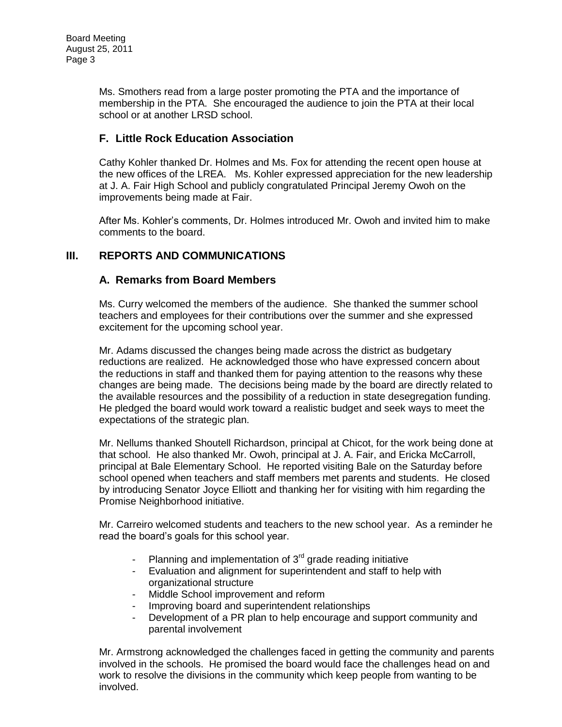Ms. Smothers read from a large poster promoting the PTA and the importance of membership in the PTA. She encouraged the audience to join the PTA at their local school or at another LRSD school.

# **F. Little Rock Education Association**

Cathy Kohler thanked Dr. Holmes and Ms. Fox for attending the recent open house at the new offices of the LREA. Ms. Kohler expressed appreciation for the new leadership at J. A. Fair High School and publicly congratulated Principal Jeremy Owoh on the improvements being made at Fair.

After Ms. Kohler's comments, Dr. Holmes introduced Mr. Owoh and invited him to make comments to the board.

# **III. REPORTS AND COMMUNICATIONS**

# **A. Remarks from Board Members**

Ms. Curry welcomed the members of the audience. She thanked the summer school teachers and employees for their contributions over the summer and she expressed excitement for the upcoming school year.

Mr. Adams discussed the changes being made across the district as budgetary reductions are realized. He acknowledged those who have expressed concern about the reductions in staff and thanked them for paying attention to the reasons why these changes are being made. The decisions being made by the board are directly related to the available resources and the possibility of a reduction in state desegregation funding. He pledged the board would work toward a realistic budget and seek ways to meet the expectations of the strategic plan.

Mr. Nellums thanked Shoutell Richardson, principal at Chicot, for the work being done at that school. He also thanked Mr. Owoh, principal at J. A. Fair, and Ericka McCarroll, principal at Bale Elementary School. He reported visiting Bale on the Saturday before school opened when teachers and staff members met parents and students. He closed by introducing Senator Joyce Elliott and thanking her for visiting with him regarding the Promise Neighborhood initiative.

Mr. Carreiro welcomed students and teachers to the new school year. As a reminder he read the board's goals for this school year.

- Planning and implementation of  $3<sup>rd</sup>$  grade reading initiative
- Evaluation and alignment for superintendent and staff to help with organizational structure
- Middle School improvement and reform
- Improving board and superintendent relationships
- Development of a PR plan to help encourage and support community and parental involvement

Mr. Armstrong acknowledged the challenges faced in getting the community and parents involved in the schools. He promised the board would face the challenges head on and work to resolve the divisions in the community which keep people from wanting to be involved.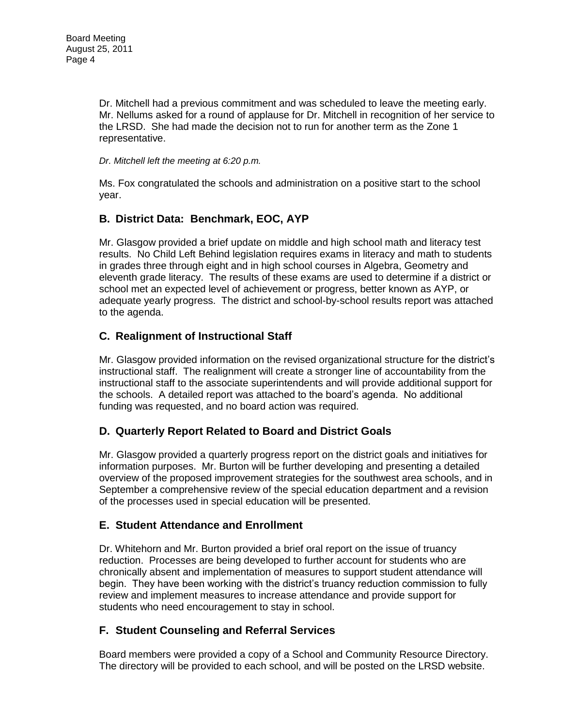Dr. Mitchell had a previous commitment and was scheduled to leave the meeting early. Mr. Nellums asked for a round of applause for Dr. Mitchell in recognition of her service to the LRSD. She had made the decision not to run for another term as the Zone 1 representative.

*Dr. Mitchell left the meeting at 6:20 p.m.*

Ms. Fox congratulated the schools and administration on a positive start to the school year.

# **B. District Data: Benchmark, EOC, AYP**

Mr. Glasgow provided a brief update on middle and high school math and literacy test results. No Child Left Behind legislation requires exams in literacy and math to students in grades three through eight and in high school courses in Algebra, Geometry and eleventh grade literacy. The results of these exams are used to determine if a district or school met an expected level of achievement or progress, better known as AYP, or adequate yearly progress. The district and school-by-school results report was attached to the agenda.

## **C. Realignment of Instructional Staff**

Mr. Glasgow provided information on the revised organizational structure for the district's instructional staff. The realignment will create a stronger line of accountability from the instructional staff to the associate superintendents and will provide additional support for the schools. A detailed report was attached to the board's agenda. No additional funding was requested, and no board action was required.

## **D. Quarterly Report Related to Board and District Goals**

Mr. Glasgow provided a quarterly progress report on the district goals and initiatives for information purposes. Mr. Burton will be further developing and presenting a detailed overview of the proposed improvement strategies for the southwest area schools, and in September a comprehensive review of the special education department and a revision of the processes used in special education will be presented.

## **E. Student Attendance and Enrollment**

Dr. Whitehorn and Mr. Burton provided a brief oral report on the issue of truancy reduction. Processes are being developed to further account for students who are chronically absent and implementation of measures to support student attendance will begin. They have been working with the district's truancy reduction commission to fully review and implement measures to increase attendance and provide support for students who need encouragement to stay in school.

# **F. Student Counseling and Referral Services**

Board members were provided a copy of a School and Community Resource Directory. The directory will be provided to each school, and will be posted on the LRSD website.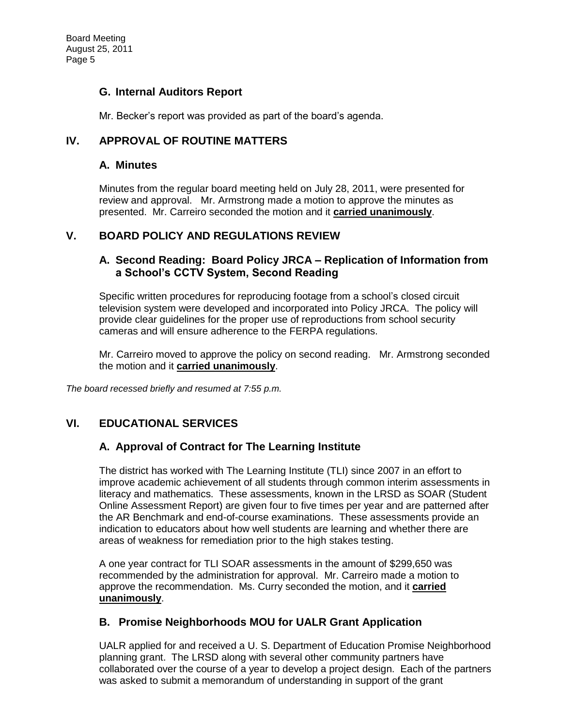## **G. Internal Auditors Report**

Mr. Becker's report was provided as part of the board's agenda.

# **IV. APPROVAL OF ROUTINE MATTERS**

#### **A. Minutes**

Minutes from the regular board meeting held on July 28, 2011, were presented for review and approval. Mr. Armstrong made a motion to approve the minutes as presented. Mr. Carreiro seconded the motion and it **carried unanimously**.

## **V. BOARD POLICY AND REGULATIONS REVIEW**

## **A. Second Reading: Board Policy JRCA – Replication of Information from a School's CCTV System, Second Reading**

Specific written procedures for reproducing footage from a school's closed circuit television system were developed and incorporated into Policy JRCA. The policy will provide clear guidelines for the proper use of reproductions from school security cameras and will ensure adherence to the FERPA regulations.

Mr. Carreiro moved to approve the policy on second reading. Mr. Armstrong seconded the motion and it **carried unanimously**.

*The board recessed briefly and resumed at 7:55 p.m.* 

## **VI. EDUCATIONAL SERVICES**

## **A. Approval of Contract for The Learning Institute**

The district has worked with The Learning Institute (TLI) since 2007 in an effort to improve academic achievement of all students through common interim assessments in literacy and mathematics. These assessments, known in the LRSD as SOAR (Student Online Assessment Report) are given four to five times per year and are patterned after the AR Benchmark and end-of-course examinations. These assessments provide an indication to educators about how well students are learning and whether there are areas of weakness for remediation prior to the high stakes testing.

A one year contract for TLI SOAR assessments in the amount of \$299,650 was recommended by the administration for approval. Mr. Carreiro made a motion to approve the recommendation. Ms. Curry seconded the motion, and it **carried unanimously**.

#### **B. Promise Neighborhoods MOU for UALR Grant Application**

UALR applied for and received a U. S. Department of Education Promise Neighborhood planning grant. The LRSD along with several other community partners have collaborated over the course of a year to develop a project design. Each of the partners was asked to submit a memorandum of understanding in support of the grant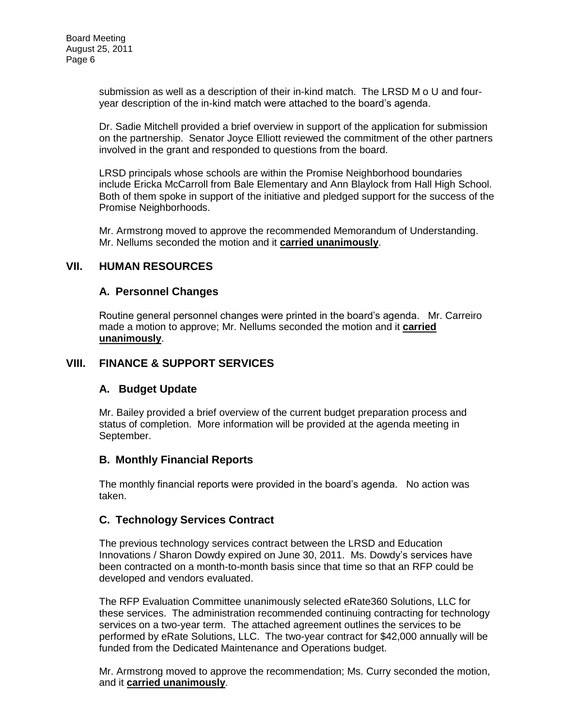submission as well as a description of their in-kind match. The LRSD M o U and fouryear description of the in-kind match were attached to the board's agenda.

Dr. Sadie Mitchell provided a brief overview in support of the application for submission on the partnership. Senator Joyce Elliott reviewed the commitment of the other partners involved in the grant and responded to questions from the board.

LRSD principals whose schools are within the Promise Neighborhood boundaries include Ericka McCarroll from Bale Elementary and Ann Blaylock from Hall High School. Both of them spoke in support of the initiative and pledged support for the success of the Promise Neighborhoods.

Mr. Armstrong moved to approve the recommended Memorandum of Understanding. Mr. Nellums seconded the motion and it **carried unanimously**.

#### **VII. HUMAN RESOURCES**

#### **A. Personnel Changes**

Routine general personnel changes were printed in the board's agenda. Mr. Carreiro made a motion to approve; Mr. Nellums seconded the motion and it **carried unanimously**.

#### **VIII. FINANCE & SUPPORT SERVICES**

#### **A. Budget Update**

Mr. Bailey provided a brief overview of the current budget preparation process and status of completion. More information will be provided at the agenda meeting in September.

#### **B. Monthly Financial Reports**

The monthly financial reports were provided in the board's agenda. No action was taken.

## **C. Technology Services Contract**

The previous technology services contract between the LRSD and Education Innovations / Sharon Dowdy expired on June 30, 2011. Ms. Dowdy's services have been contracted on a month-to-month basis since that time so that an RFP could be developed and vendors evaluated.

The RFP Evaluation Committee unanimously selected eRate360 Solutions, LLC for these services. The administration recommended continuing contracting for technology services on a two-year term. The attached agreement outlines the services to be performed by eRate Solutions, LLC. The two-year contract for \$42,000 annually will be funded from the Dedicated Maintenance and Operations budget.

Mr. Armstrong moved to approve the recommendation; Ms. Curry seconded the motion, and it **carried unanimously**.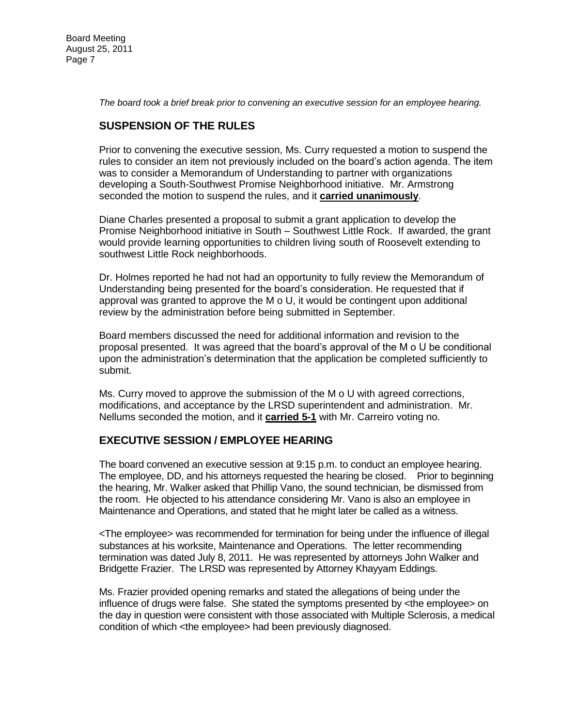Board Meeting August 25, 2011 Page 7

*The board took a brief break prior to convening an executive session for an employee hearing.* 

# **SUSPENSION OF THE RULES**

Prior to convening the executive session, Ms. Curry requested a motion to suspend the rules to consider an item not previously included on the board's action agenda. The item was to consider a Memorandum of Understanding to partner with organizations developing a South-Southwest Promise Neighborhood initiative. Mr. Armstrong seconded the motion to suspend the rules, and it **carried unanimously**.

Diane Charles presented a proposal to submit a grant application to develop the Promise Neighborhood initiative in South – Southwest Little Rock. If awarded, the grant would provide learning opportunities to children living south of Roosevelt extending to southwest Little Rock neighborhoods.

Dr. Holmes reported he had not had an opportunity to fully review the Memorandum of Understanding being presented for the board's consideration. He requested that if approval was granted to approve the M o U, it would be contingent upon additional review by the administration before being submitted in September.

Board members discussed the need for additional information and revision to the proposal presented. It was agreed that the board's approval of the M o U be conditional upon the administration's determination that the application be completed sufficiently to submit.

Ms. Curry moved to approve the submission of the M o U with agreed corrections, modifications, and acceptance by the LRSD superintendent and administration. Mr. Nellums seconded the motion, and it **carried 5-1** with Mr. Carreiro voting no.

#### **EXECUTIVE SESSION / EMPLOYEE HEARING**

The board convened an executive session at 9:15 p.m. to conduct an employee hearing. The employee, DD, and his attorneys requested the hearing be closed. Prior to beginning the hearing, Mr. Walker asked that Phillip Vano, the sound technician, be dismissed from the room. He objected to his attendance considering Mr. Vano is also an employee in Maintenance and Operations, and stated that he might later be called as a witness.

<The employee> was recommended for termination for being under the influence of illegal substances at his worksite, Maintenance and Operations. The letter recommending termination was dated July 8, 2011. He was represented by attorneys John Walker and Bridgette Frazier. The LRSD was represented by Attorney Khayyam Eddings.

Ms. Frazier provided opening remarks and stated the allegations of being under the influence of drugs were false. She stated the symptoms presented by <the employee> on the day in question were consistent with those associated with Multiple Sclerosis, a medical condition of which <the employee> had been previously diagnosed.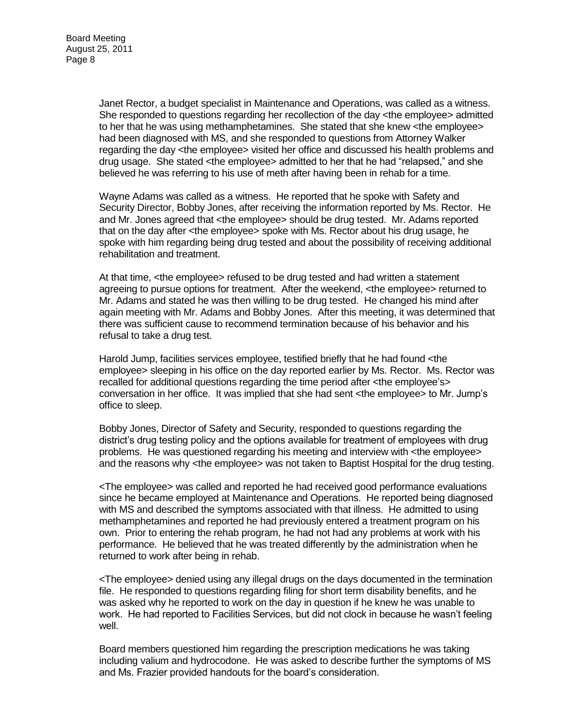Janet Rector, a budget specialist in Maintenance and Operations, was called as a witness. She responded to questions regarding her recollection of the day <the employee> admitted to her that he was using methamphetamines. She stated that she knew <the employee> had been diagnosed with MS, and she responded to questions from Attorney Walker regarding the day <the employee> visited her office and discussed his health problems and drug usage. She stated <the employee> admitted to her that he had "relapsed," and she believed he was referring to his use of meth after having been in rehab for a time.

Wayne Adams was called as a witness. He reported that he spoke with Safety and Security Director, Bobby Jones, after receiving the information reported by Ms. Rector. He and Mr. Jones agreed that <the employee> should be drug tested. Mr. Adams reported that on the day after <the employee> spoke with Ms. Rector about his drug usage, he spoke with him regarding being drug tested and about the possibility of receiving additional rehabilitation and treatment.

At that time, <the employee> refused to be drug tested and had written a statement agreeing to pursue options for treatment. After the weekend, <the employee> returned to Mr. Adams and stated he was then willing to be drug tested. He changed his mind after again meeting with Mr. Adams and Bobby Jones. After this meeting, it was determined that there was sufficient cause to recommend termination because of his behavior and his refusal to take a drug test.

Harold Jump, facilities services employee, testified briefly that he had found <the employee> sleeping in his office on the day reported earlier by Ms. Rector. Ms. Rector was recalled for additional questions regarding the time period after <the employee's> conversation in her office. It was implied that she had sent <the employee> to Mr. Jump's office to sleep.

Bobby Jones, Director of Safety and Security, responded to questions regarding the district's drug testing policy and the options available for treatment of employees with drug problems. He was questioned regarding his meeting and interview with <the employee> and the reasons why <the employee> was not taken to Baptist Hospital for the drug testing.

<The employee> was called and reported he had received good performance evaluations since he became employed at Maintenance and Operations. He reported being diagnosed with MS and described the symptoms associated with that illness. He admitted to using methamphetamines and reported he had previously entered a treatment program on his own. Prior to entering the rehab program, he had not had any problems at work with his performance. He believed that he was treated differently by the administration when he returned to work after being in rehab.

<The employee> denied using any illegal drugs on the days documented in the termination file. He responded to questions regarding filing for short term disability benefits, and he was asked why he reported to work on the day in question if he knew he was unable to work. He had reported to Facilities Services, but did not clock in because he wasn't feeling well.

Board members questioned him regarding the prescription medications he was taking including valium and hydrocodone. He was asked to describe further the symptoms of MS and Ms. Frazier provided handouts for the board's consideration.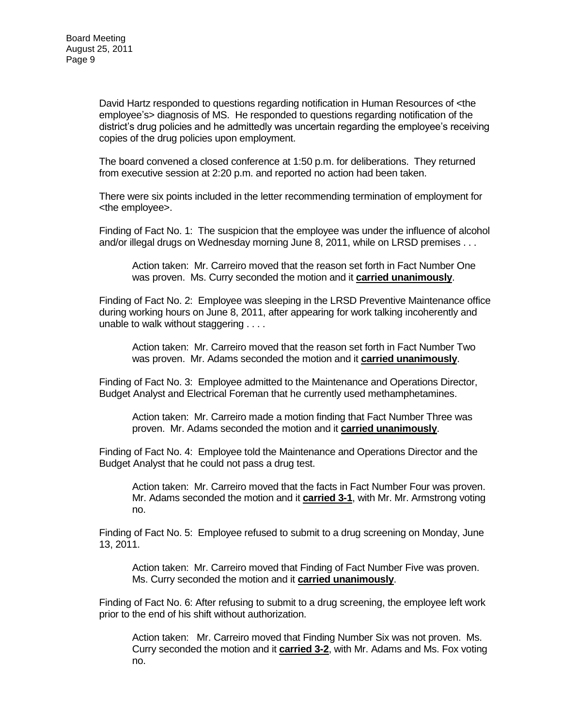David Hartz responded to questions regarding notification in Human Resources of <the employee's> diagnosis of MS. He responded to questions regarding notification of the district's drug policies and he admittedly was uncertain regarding the employee's receiving copies of the drug policies upon employment.

The board convened a closed conference at 1:50 p.m. for deliberations. They returned from executive session at 2:20 p.m. and reported no action had been taken.

There were six points included in the letter recommending termination of employment for <the employee>.

Finding of Fact No. 1: The suspicion that the employee was under the influence of alcohol and/or illegal drugs on Wednesday morning June 8, 2011, while on LRSD premises . . .

Action taken: Mr. Carreiro moved that the reason set forth in Fact Number One was proven. Ms. Curry seconded the motion and it **carried unanimously**.

Finding of Fact No. 2: Employee was sleeping in the LRSD Preventive Maintenance office during working hours on June 8, 2011, after appearing for work talking incoherently and unable to walk without staggering . . . .

Action taken: Mr. Carreiro moved that the reason set forth in Fact Number Two was proven. Mr. Adams seconded the motion and it **carried unanimously**.

Finding of Fact No. 3: Employee admitted to the Maintenance and Operations Director, Budget Analyst and Electrical Foreman that he currently used methamphetamines.

Action taken: Mr. Carreiro made a motion finding that Fact Number Three was proven. Mr. Adams seconded the motion and it **carried unanimously**.

Finding of Fact No. 4: Employee told the Maintenance and Operations Director and the Budget Analyst that he could not pass a drug test.

Action taken: Mr. Carreiro moved that the facts in Fact Number Four was proven. Mr. Adams seconded the motion and it **carried 3-1**, with Mr. Mr. Armstrong voting no.

Finding of Fact No. 5: Employee refused to submit to a drug screening on Monday, June 13, 2011.

Action taken: Mr. Carreiro moved that Finding of Fact Number Five was proven. Ms. Curry seconded the motion and it **carried unanimously**.

Finding of Fact No. 6: After refusing to submit to a drug screening, the employee left work prior to the end of his shift without authorization.

Action taken: Mr. Carreiro moved that Finding Number Six was not proven. Ms. Curry seconded the motion and it **carried 3-2**, with Mr. Adams and Ms. Fox voting no.